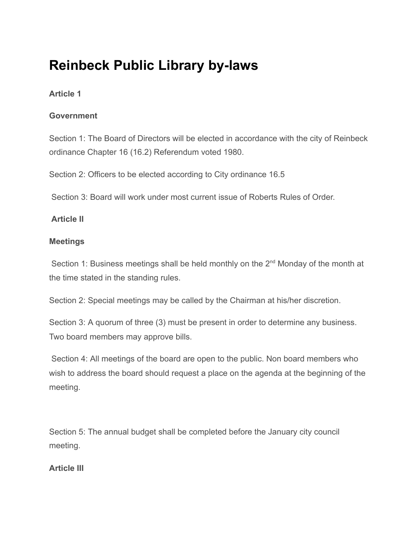# **Reinbeck Public Library by-laws**

# **Article 1**

## **Government**

Section 1: The Board of Directors will be elected in accordance with the city of Reinbeck ordinance Chapter 16 (16.2) Referendum voted 1980.

Section 2: Officers to be elected according to City ordinance 16.5

Section 3: Board will work under most current issue of Roberts Rules of Order.

# **Article II**

## **Meetings**

Section 1: Business meetings shall be held monthly on the 2<sup>nd</sup> Monday of the month at the time stated in the standing rules.

Section 2: Special meetings may be called by the Chairman at his/her discretion.

Section 3: A quorum of three (3) must be present in order to determine any business. Two board members may approve bills.

 Section 4: All meetings of the board are open to the public. Non board members who wish to address the board should request a place on the agenda at the beginning of the meeting.

Section 5: The annual budget shall be completed before the January city council meeting.

# **Article III**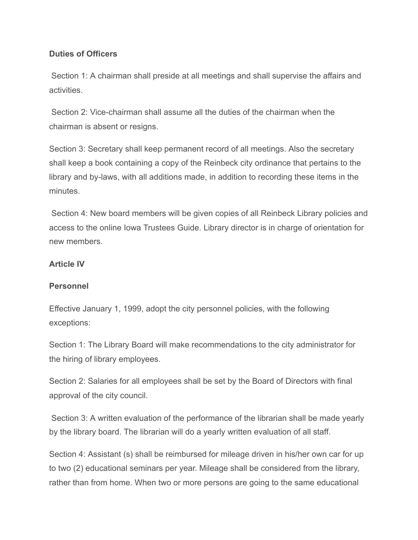#### **Duties of Officers**

Section 1: A chairman shall preside at all meetings and shall supervise the affairs and activities.

 Section 2: Vice-chairman shall assume all the duties of the chairman when the chairman is absent or resigns.

Section 3: Secretary shall keep permanent record of all meetings. Also the secretary shall keep a book containing a copy of the Reinbeck city ordinance that pertains to the library and by-laws, with all additions made, in addition to recording these items in the minutes.

 Section 4: New board members will be given copies of all Reinbeck Library policies and access to the online Iowa Trustees Guide. Library director is in charge of orientation for new members.

#### **Article IV**

#### **Personnel**

Effective January 1, 1999, adopt the city personnel policies, with the following exceptions:

Section 1: The Library Board will make recommendations to the city administrator for the hiring of library employees.

Section 2: Salaries for all employees shall be set by the Board of Directors with final approval of the city council.

 Section 3: A written evaluation of the performance of the librarian shall be made yearly by the library board. The librarian will do a yearly written evaluation of all staff.

Section 4: Assistant (s) shall be reimbursed for mileage driven in his/her own car for up to two (2) educational seminars per year. Mileage shall be considered from the library, rather than from home. When two or more persons are going to the same educational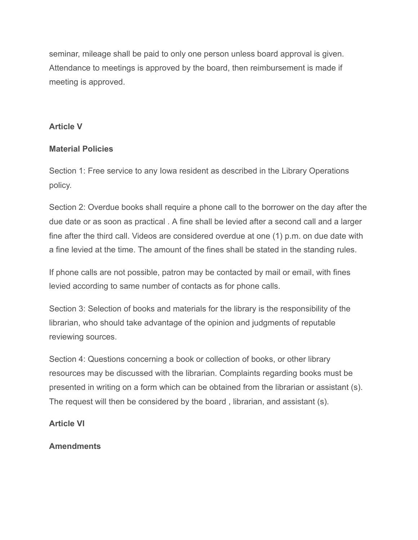seminar, mileage shall be paid to only one person unless board approval is given. Attendance to meetings is approved by the board, then reimbursement is made if meeting is approved.

#### **Article V**

#### **Material Policies**

Section 1: Free service to any Iowa resident as described in the Library Operations policy.

Section 2: Overdue books shall require a phone call to the borrower on the day after the due date or as soon as practical . A fine shall be levied after a second call and a larger fine after the third call. Videos are considered overdue at one (1) p.m. on due date with a fine levied at the time. The amount of the fines shall be stated in the standing rules.

If phone calls are not possible, patron may be contacted by mail or email, with fines levied according to same number of contacts as for phone calls.

Section 3: Selection of books and materials for the library is the responsibility of the librarian, who should take advantage of the opinion and judgments of reputable reviewing sources.

Section 4: Questions concerning a book or collection of books, or other library resources may be discussed with the librarian. Complaints regarding books must be presented in writing on a form which can be obtained from the librarian or assistant (s). The request will then be considered by the board , librarian, and assistant (s).

#### **Article VI**

#### **Amendments**